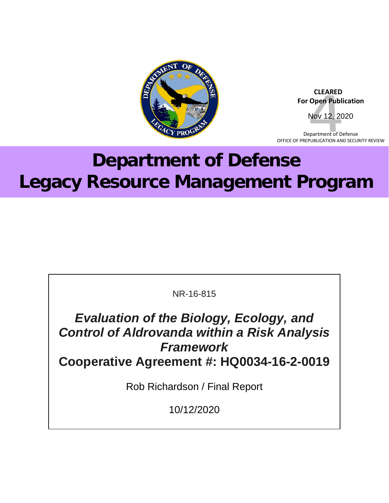

 **CLEARED For Open Publication** Nov 12, 2020

Department of Defense OFFICE OF PREPUBLICATION AND SECURITY REVIEW

# **Department of Defense Legacy Resource Management Program**

NR-16-815

*Evaluation of the Biology, Ecology, and Control of Aldrovanda within a Risk Analysis Framework* **Cooperative Agreement #: HQ0034-16-2-0019**

Rob Richardson / Final Report

10/12/2020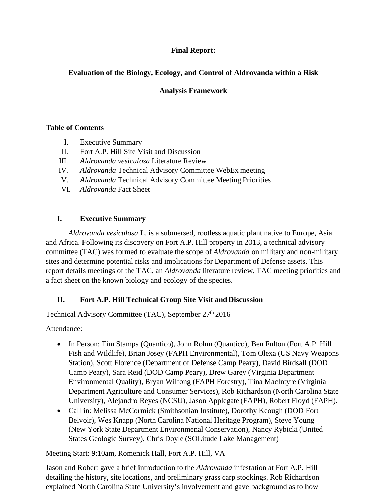## **Final Report:**

# **Evaluation of the Biology, Ecology, and Control of Aldrovanda within a Risk**

# **Analysis Framework**

## **Table of Contents**

- I. Executive Summary
- II. Fort A.P. Hill Site Visit and Discussion
- III. *Aldrovanda vesiculosa* Literature Review
- IV. *Aldrovanda* Technical Advisory Committee WebEx meeting
- V. *Aldrovanda* Technical Advisory Committee Meeting Priorities
- VI. *Aldrovanda* Fact Sheet

# **I. Executive Summary**

*Aldrovanda vesiculosa* L. is a submersed, rootless aquatic plant native to Europe, Asia and Africa. Following its discovery on Fort A.P. Hill property in 2013, a technical advisory committee (TAC) was formed to evaluate the scope of *Aldrovanda* on military and non-military sites and determine potential risks and implications for Department of Defense assets. This report details meetings of the TAC, an *Aldrovanda* literature review, TAC meeting priorities and a fact sheet on the known biology and ecology of the species.

# **II. Fort A.P. Hill Technical Group Site Visit and Discussion**

Technical Advisory Committee (TAC), September 27th 2016

Attendance:

- In Person: Tim Stamps (Quantico), John Rohm (Quantico), Ben Fulton (Fort A.P. Hill Fish and Wildlife), Brian Josey (FAPH Environmental), Tom Olexa (US Navy Weapons Station), Scott Florence (Department of Defense Camp Peary), David Birdsall (DOD Camp Peary), Sara Reid (DOD Camp Peary), Drew Garey (Virginia Department Environmental Quality), Bryan Wilfong (FAPH Forestry), Tina MacIntyre (Virginia Department Agriculture and Consumer Services), Rob Richardson (North Carolina State University), Alejandro Reyes (NCSU), Jason Applegate (FAPH), Robert Floyd (FAPH).
- Call in: Melissa McCormick (Smithsonian Institute), Dorothy Keough (DOD Fort Belvoir), Wes Knapp (North Carolina National Heritage Program), Steve Young (New York State Department Environmenal Conservation), Nancy Rybicki (United States Geologic Survey), Chris Doyle (SOLitude Lake Management)

Meeting Start: 9:10am, Romenick Hall, Fort A.P. Hill, VA

Jason and Robert gave a brief introduction to the *Aldrovanda* infestation at Fort A.P. Hill detailing the history, site locations, and preliminary grass carp stockings. Rob Richardson explained North Carolina State University's involvement and gave background as to how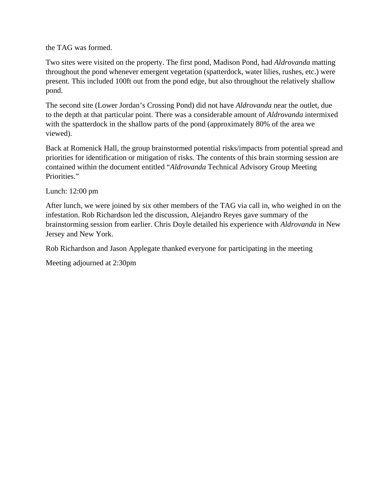the TAG was formed.

Two sites were visited on the property. The first pond, Madison Pond, had *Aldrovanda* matting throughout the pond whenever emergent vegetation (spatterdock, water lilies, rushes, etc.) were present. This included 100ft out from the pond edge, but also throughout the relatively shallow pond.

The second site (Lower Jordan's Crossing Pond) did not have *Aldrovanda* near the outlet, due to the depth at that particular point. There was a considerable amount of *Aldrovanda* intermixed with the spatterdock in the shallow parts of the pond (approximately 80% of the area we viewed).

Back at Romenick Hall, the group brainstormed potential risks/impacts from potential spread and priorities for identification or mitigation of risks. The contents of this brain storming session are contained within the document entitled "*Aldrovanda* Technical Advisory Group Meeting Priorities."

Lunch: 12:00 pm

After lunch, we were joined by six other members of the TAG via call in, who weighed in on the infestation. Rob Richardson led the discussion, Alejandro Reyes gave summary of the brainstorming session from earlier. Chris Doyle detailed his experience with *Aldrovanda* in New Jersey and New York.

Rob Richardson and Jason Applegate thanked everyone for participating in the meeting

Meeting adjourned at 2:30pm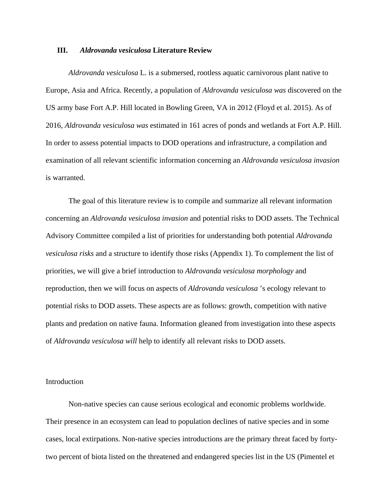#### **III.** *Aldrovanda vesiculosa* **Literature Review**

*Aldrovanda vesiculosa* L. is a submersed, rootless aquatic carnivorous plant native to Europe, Asia and Africa. Recently, a population of *Aldrovanda vesiculosa was* discovered on the US army base Fort A.P. Hill located in Bowling Green, VA in 2012 (Floyd et al. 2015). As of 2016, *Aldrovanda vesiculosa was* estimated in 161 acres of ponds and wetlands at Fort A.P. Hill. In order to assess potential impacts to DOD operations and infrastructure, a compilation and examination of all relevant scientific information concerning an *Aldrovanda vesiculosa invasion* is warranted.

The goal of this literature review is to compile and summarize all relevant information concerning an *Aldrovanda vesiculosa invasion* and potential risks to DOD assets. The Technical Advisory Committee compiled a list of priorities for understanding both potential *Aldrovanda vesiculosa risks* and a structure to identify those risks (Appendix 1). To complement the list of priorities, we will give a brief introduction to *Aldrovanda vesiculosa morphology* and reproduction, then we will focus on aspects of *Aldrovanda vesiculosa* 's ecology relevant to potential risks to DOD assets. These aspects are as follows: growth, competition with native plants and predation on native fauna. Information gleaned from investigation into these aspects of *Aldrovanda vesiculosa will* help to identify all relevant risks to DOD assets.

#### Introduction

Non-native species can cause serious ecological and economic problems worldwide. Their presence in an ecosystem can lead to population declines of native species and in some cases, local extirpations. Non-native species introductions are the primary threat faced by fortytwo percent of biota listed on the threatened and endangered species list in the US (Pimentel et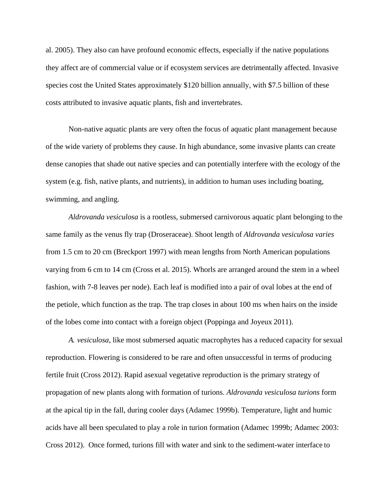al. 2005). They also can have profound economic effects, especially if the native populations they affect are of commercial value or if ecosystem services are detrimentally affected. Invasive species cost the United States approximately \$120 billion annually, with \$7.5 billion of these costs attributed to invasive aquatic plants, fish and invertebrates.

Non-native aquatic plants are very often the focus of aquatic plant management because of the wide variety of problems they cause. In high abundance, some invasive plants can create dense canopies that shade out native species and can potentially interfere with the ecology of the system (e.g. fish, native plants, and nutrients), in addition to human uses including boating, swimming, and angling.

*Aldrovanda vesiculosa* is a rootless, submersed carnivorous aquatic plant belonging to the same family as the venus fly trap (Droseraceae). Shoot length of *Aldrovanda vesiculosa varies* from 1.5 cm to 20 cm (Breckport 1997) with mean lengths from North American populations varying from 6 cm to 14 cm (Cross et al. 2015). Whorls are arranged around the stem in a wheel fashion, with 7-8 leaves per node). Each leaf is modified into a pair of oval lobes at the end of the petiole, which function as the trap. The trap closes in about 100 ms when hairs on the inside of the lobes come into contact with a foreign object (Poppinga and Joyeux 2011).

*A. vesiculosa*, like most submersed aquatic macrophytes has a reduced capacity for sexual reproduction. Flowering is considered to be rare and often unsuccessful in terms of producing fertile fruit (Cross 2012). Rapid asexual vegetative reproduction is the primary strategy of propagation of new plants along with formation of turions. *Aldrovanda vesiculosa turions* form at the apical tip in the fall, during cooler days (Adamec 1999b). Temperature, light and humic acids have all been speculated to play a role in turion formation (Adamec 1999b; Adamec 2003: Cross 2012). Once formed, turions fill with water and sink to the sediment-water interface to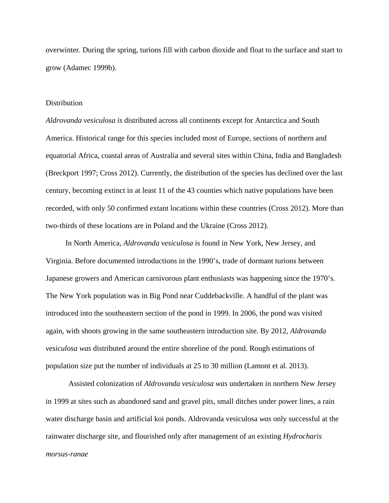overwinter. During the spring, turions fill with carbon dioxide and float to the surface and start to grow (Adamec 1999b).

#### **Distribution**

*Aldrovanda vesiculosa is* distributed across all continents except for Antarctica and South America. Historical range for this species included most of Europe, sections of northern and equatorial Africa, coastal areas of Australia and several sites within China, India and Bangladesh (Breckport 1997; Cross 2012). Currently, the distribution of the species has declined over the last century, becoming extinct in at least 11 of the 43 counties which native populations have been recorded, with only 50 confirmed extant locations within these countries (Cross 2012). More than two-thirds of these locations are in Poland and the Ukraine (Cross 2012).

In North America, *Aldrovanda vesiculosa* is found in New York, New Jersey, and Virginia. Before documented introductions in the 1990's, trade of dormant turions between Japanese growers and American carnivorous plant enthusiasts was happening since the 1970's. The New York population was in Big Pond near Cuddebackville. A handful of the plant was introduced into the southeastern section of the pond in 1999. In 2006, the pond was visited again, with shoots growing in the same southeastern introduction site. By 2012, *Aldrovanda vesiculosa was* distributed around the entire shoreline of the pond. Rough estimations of population size put the number of individuals at 25 to 30 million (Lamont et al. 2013).

Assisted colonization of *Aldrovanda vesiculosa was* undertaken in northern New Jersey in 1999 at sites such as abandoned sand and gravel pits, small ditches under power lines, a rain water discharge basin and artificial koi ponds. Aldrovanda vesiculosa *was* only successful at the rainwater discharge site, and flourished only after management of an existing *Hydrocharis morsus-ranae*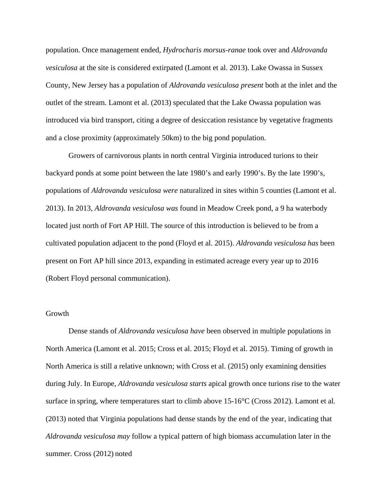population. Once management ended, *Hydrocharis morsus-ranae* took over and *Aldrovanda vesiculosa* at the site is considered extirpated (Lamont et al. 2013). Lake Owassa in Sussex County, New Jersey has a population of *Aldrovanda vesiculosa present* both at the inlet and the outlet of the stream. Lamont et al. (2013) speculated that the Lake Owassa population was introduced via bird transport, citing a degree of desiccation resistance by vegetative fragments and a close proximity (approximately 50km) to the big pond population.

Growers of carnivorous plants in north central Virginia introduced turions to their backyard ponds at some point between the late 1980's and early 1990's. By the late 1990's, populations of *Aldrovanda vesiculosa were* naturalized in sites within 5 counties (Lamont et al. 2013). In 2013, *Aldrovanda vesiculosa was* found in Meadow Creek pond, a 9 ha waterbody located just north of Fort AP Hill. The source of this introduction is believed to be from a cultivated population adjacent to the pond (Floyd et al. 2015). *Aldrovanda vesiculosa has* been present on Fort AP hill since 2013, expanding in estimated acreage every year up to 2016 (Robert Floyd personal communication).

#### Growth

Dense stands of *Aldrovanda vesiculosa have* been observed in multiple populations in North America (Lamont et al. 2015; Cross et al. 2015; Floyd et al. 2015). Timing of growth in North America is still a relative unknown; with Cross et al. (2015) only examining densities during July. In Europe, *Aldrovanda vesiculosa starts* apical growth once turions rise to the water surface in spring, where temperatures start to climb above 15-16°C (Cross 2012). Lamont et al. (2013) noted that Virginia populations had dense stands by the end of the year, indicating that *Aldrovanda vesiculosa may* follow a typical pattern of high biomass accumulation later in the summer. Cross (2012) noted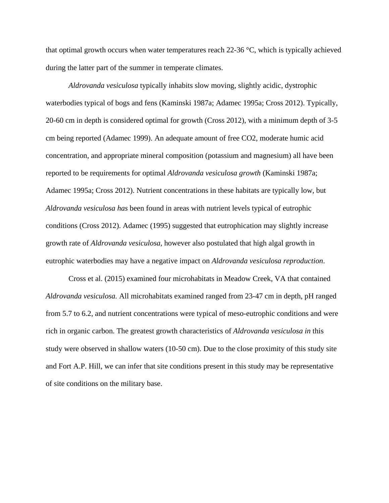that optimal growth occurs when water temperatures reach  $22\n-36$  °C, which is typically achieved during the latter part of the summer in temperate climates.

*Aldrovanda vesiculosa* typically inhabits slow moving, slightly acidic, dystrophic waterbodies typical of bogs and fens (Kaminski 1987a; Adamec 1995a; Cross 2012). Typically, 20-60 cm in depth is considered optimal for growth (Cross 2012), with a minimum depth of 3-5 cm being reported (Adamec 1999). An adequate amount of free CO2, moderate humic acid concentration, and appropriate mineral composition (potassium and magnesium) all have been reported to be requirements for optimal *Aldrovanda vesiculosa growth* (Kaminski 1987a; Adamec 1995a; Cross 2012). Nutrient concentrations in these habitats are typically low, but *Aldrovanda vesiculosa has* been found in areas with nutrient levels typical of eutrophic conditions (Cross 2012). Adamec (1995) suggested that eutrophication may slightly increase growth rate of *Aldrovanda vesiculosa,* however also postulated that high algal growth in eutrophic waterbodies may have a negative impact on *Aldrovanda vesiculosa reproduction*.

Cross et al. (2015) examined four microhabitats in Meadow Creek, VA that contained *Aldrovanda vesiculosa.* All microhabitats examined ranged from 23-47 cm in depth, pH ranged from 5.7 to 6.2, and nutrient concentrations were typical of meso-eutrophic conditions and were rich in organic carbon. The greatest growth characteristics of *Aldrovanda vesiculosa in* this study were observed in shallow waters (10-50 cm). Due to the close proximity of this study site and Fort A.P. Hill, we can infer that site conditions present in this study may be representative of site conditions on the military base.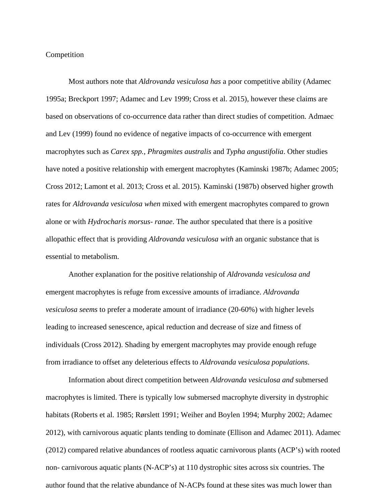#### Competition

Most authors note that *Aldrovanda vesiculosa has* a poor competitive ability (Adamec 1995a; Breckport 1997; Adamec and Lev 1999; Cross et al. 2015), however these claims are based on observations of co-occurrence data rather than direct studies of competition. Admaec and Lev (1999) found no evidence of negative impacts of co-occurrence with emergent macrophytes such as *Carex spp.*, *Phragmites australis* and *Typha angustifolia*. Other studies have noted a positive relationship with emergent macrophytes (Kaminski 1987b; Adamec 2005; Cross 2012; Lamont et al. 2013; Cross et al. 2015). Kaminski (1987b) observed higher growth rates for *Aldrovanda vesiculosa when* mixed with emergent macrophytes compared to grown alone or with *Hydrocharis morsus- ranae*. The author speculated that there is a positive allopathic effect that is providing *Aldrovanda vesiculosa with* an organic substance that is essential to metabolism.

Another explanation for the positive relationship of *Aldrovanda vesiculosa and* emergent macrophytes is refuge from excessive amounts of irradiance. *Aldrovanda vesiculosa seems* to prefer a moderate amount of irradiance (20-60%) with higher levels leading to increased senescence, apical reduction and decrease of size and fitness of individuals (Cross 2012). Shading by emergent macrophytes may provide enough refuge from irradiance to offset any deleterious effects to *Aldrovanda vesiculosa populations*.

Information about direct competition between *Aldrovanda vesiculosa and* submersed macrophytes is limited. There is typically low submersed macrophyte diversity in dystrophic habitats (Roberts et al. 1985; Rørslett 1991; Weiher and Boylen 1994; Murphy 2002; Adamec 2012), with carnivorous aquatic plants tending to dominate (Ellison and Adamec 2011). Adamec (2012) compared relative abundances of rootless aquatic carnivorous plants (ACP's) with rooted non- carnivorous aquatic plants (N-ACP's) at 110 dystrophic sites across six countries. The author found that the relative abundance of N-ACPs found at these sites was much lower than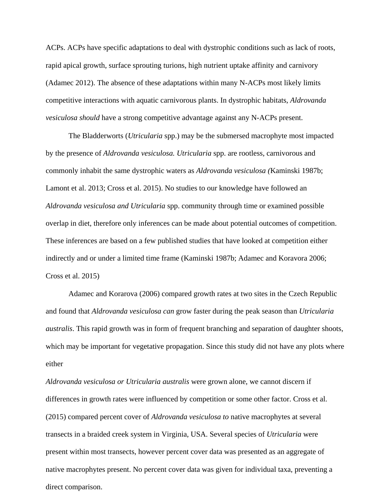ACPs. ACPs have specific adaptations to deal with dystrophic conditions such as lack of roots, rapid apical growth, surface sprouting turions, high nutrient uptake affinity and carnivory (Adamec 2012). The absence of these adaptations within many N-ACPs most likely limits competitive interactions with aquatic carnivorous plants. In dystrophic habitats, *Aldrovanda vesiculosa should* have a strong competitive advantage against any N-ACPs present.

The Bladderworts (*Utricularia* spp.) may be the submersed macrophyte most impacted by the presence of *Aldrovanda vesiculosa. Utricularia* spp. are rootless, carnivorous and commonly inhabit the same dystrophic waters as *Aldrovanda vesiculosa (*Kaminski 1987b; Lamont et al. 2013; Cross et al. 2015). No studies to our knowledge have followed an *Aldrovanda vesiculosa and Utricularia* spp. community through time or examined possible overlap in diet, therefore only inferences can be made about potential outcomes of competition. These inferences are based on a few published studies that have looked at competition either indirectly and or under a limited time frame (Kaminski 1987b; Adamec and Koravora 2006; Cross et al. 2015)

Adamec and Korarova (2006) compared growth rates at two sites in the Czech Republic and found that *Aldrovanda vesiculosa can* grow faster during the peak season than *Utricularia australis*. This rapid growth was in form of frequent branching and separation of daughter shoots, which may be important for vegetative propagation. Since this study did not have any plots where either

*Aldrovanda vesiculosa or Utricularia australis* were grown alone, we cannot discern if differences in growth rates were influenced by competition or some other factor. Cross et al. (2015) compared percent cover of *Aldrovanda vesiculosa to* native macrophytes at several transects in a braided creek system in Virginia, USA. Several species of *Utricularia* were present within most transects, however percent cover data was presented as an aggregate of native macrophytes present. No percent cover data was given for individual taxa, preventing a direct comparison.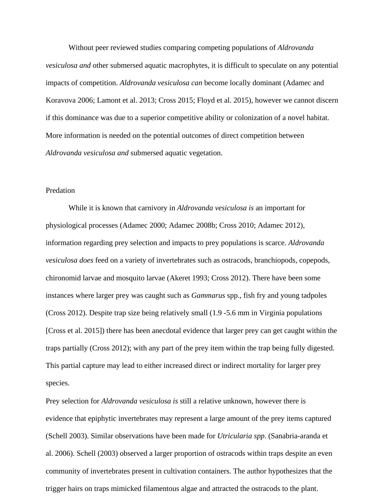Without peer reviewed studies comparing competing populations of *Aldrovanda vesiculosa and* other submersed aquatic macrophytes, it is difficult to speculate on any potential impacts of competition. *Aldrovanda vesiculosa can* become locally dominant (Adamec and Koravova 2006; Lamont et al. 2013; Cross 2015; Floyd et al. 2015), however we cannot discern if this dominance was due to a superior competitive ability or colonization of a novel habitat. More information is needed on the potential outcomes of direct competition between *Aldrovanda vesiculosa and* submersed aquatic vegetation.

#### Predation

While it is known that carnivory in *Aldrovanda vesiculosa is* an important for physiological processes (Adamec 2000; Adamec 2008b; Cross 2010; Adamec 2012), information regarding prey selection and impacts to prey populations is scarce. *Aldrovanda vesiculosa does* feed on a variety of invertebrates such as ostracods, branchiopods, copepods, chironomid larvae and mosquito larvae (Akeret 1993; Cross 2012). There have been some instances where larger prey was caught such as *Gammarus* spp., fish fry and young tadpoles (Cross 2012). Despite trap size being relatively small (1.9 -5.6 mm in Virginia populations [Cross et al. 2015]) there has been anecdotal evidence that larger prey can get caught within the traps partially (Cross 2012); with any part of the prey item within the trap being fully digested. This partial capture may lead to either increased direct or indirect mortality for larger prey species.

Prey selection for *Aldrovanda vesiculosa is* still a relative unknown, however there is evidence that epiphytic invertebrates may represent a large amount of the prey items captured (Schell 2003). Similar observations have been made for *Utricularia spp*. (Sanabria-aranda et al. 2006). Schell (2003) observed a larger proportion of ostracods within traps despite an even community of invertebrates present in cultivation containers. The author hypothesizes that the trigger hairs on traps mimicked filamentous algae and attracted the ostracods to the plant.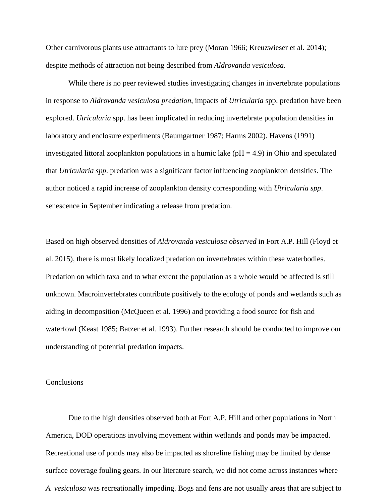Other carnivorous plants use attractants to lure prey (Moran 1966; Kreuzwieser et al. 2014); despite methods of attraction not being described from *Aldrovanda vesiculosa.*

While there is no peer reviewed studies investigating changes in invertebrate populations in response to *Aldrovanda vesiculosa predation*, impacts of *Utricularia* spp. predation have been explored. *Utricularia* spp. has been implicated in reducing invertebrate population densities in laboratory and enclosure experiments (Baumgartner 1987; Harms 2002). Havens (1991) investigated littoral zooplankton populations in a humic lake ( $pH = 4.9$ ) in Ohio and speculated that *Utricularia spp.* predation was a significant factor influencing zooplankton densities. The author noticed a rapid increase of zooplankton density corresponding with *Utricularia spp*. senescence in September indicating a release from predation.

Based on high observed densities of *Aldrovanda vesiculosa observed* in Fort A.P. Hill (Floyd et al. 2015), there is most likely localized predation on invertebrates within these waterbodies. Predation on which taxa and to what extent the population as a whole would be affected is still unknown. Macroinvertebrates contribute positively to the ecology of ponds and wetlands such as aiding in decomposition (McQueen et al. 1996) and providing a food source for fish and waterfowl (Keast 1985; Batzer et al. 1993). Further research should be conducted to improve our understanding of potential predation impacts.

#### **Conclusions**

Due to the high densities observed both at Fort A.P. Hill and other populations in North America, DOD operations involving movement within wetlands and ponds may be impacted. Recreational use of ponds may also be impacted as shoreline fishing may be limited by dense surface coverage fouling gears. In our literature search, we did not come across instances where *A. vesiculosa* was recreationally impeding. Bogs and fens are not usually areas that are subject to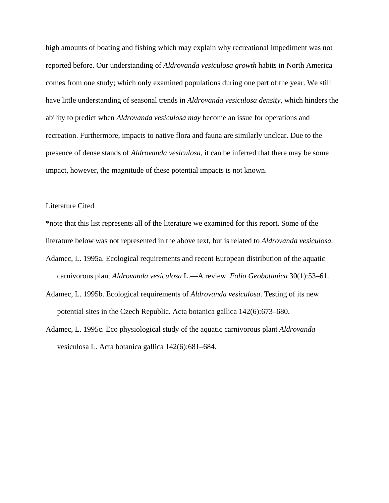high amounts of boating and fishing which may explain why recreational impediment was not reported before. Our understanding of *Aldrovanda vesiculosa growth* habits in North America comes from one study; which only examined populations during one part of the year. We still have little understanding of seasonal trends in *Aldrovanda vesiculosa density*, which hinders the ability to predict when *Aldrovanda vesiculosa may* become an issue for operations and recreation. Furthermore, impacts to native flora and fauna are similarly unclear. Due to the presence of dense stands of *Aldrovanda vesiculosa,* it can be inferred that there may be some impact, however, the magnitude of these potential impacts is not known.

#### Literature Cited

\*note that this list represents all of the literature we examined for this report. Some of the

- literature below was not represented in the above text, but is related to *Aldrovanda vesiculosa.*
- Adamec, L. 1995a. Ecological requirements and recent European distribution of the aquatic carnivorous plant *Aldrovanda vesiculosa* L.—A review. *Folia Geobotanica* 30(1):53–61.
- Adamec, L. 1995b. Ecological requirements of *Aldrovanda vesiculosa*. Testing of its new potential sites in the Czech Republic. Acta botanica gallica 142(6):673–680.
- Adamec, L. 1995c. Eco physiological study of the aquatic carnivorous plant *Aldrovanda* vesiculosa L. Acta botanica gallica 142(6):681–684.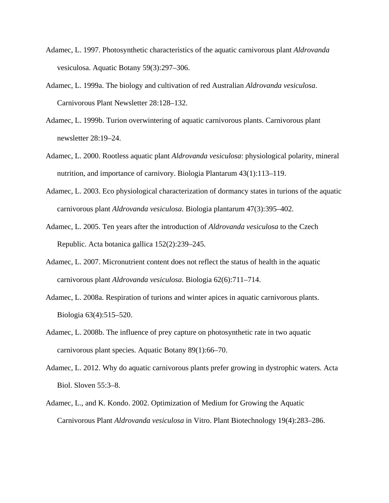- Adamec, L. 1997. Photosynthetic characteristics of the aquatic carnivorous plant *Aldrovanda* vesiculosa. Aquatic Botany 59(3):297–306.
- Adamec, L. 1999a. The biology and cultivation of red Australian *Aldrovanda vesiculosa*. Carnivorous Plant Newsletter 28:128–132.
- Adamec, L. 1999b. Turion overwintering of aquatic carnivorous plants. Carnivorous plant newsletter 28:19–24.
- Adamec, L. 2000. Rootless aquatic plant *Aldrovanda vesiculosa*: physiological polarity, mineral nutrition, and importance of carnivory. Biologia Plantarum 43(1):113–119.
- Adamec, L. 2003. Eco physiological characterization of dormancy states in turions of the aquatic carnivorous plant *Aldrovanda vesiculosa*. Biologia plantarum 47(3):395–402.
- Adamec, L. 2005. Ten years after the introduction of *Aldrovanda vesiculosa* to the Czech Republic. Acta botanica gallica 152(2):239–245.
- Adamec, L. 2007. Micronutrient content does not reflect the status of health in the aquatic carnivorous plant *Aldrovanda vesiculosa*. Biologia 62(6):711–714.
- Adamec, L. 2008a. Respiration of turions and winter apices in aquatic carnivorous plants. Biologia 63(4):515–520.
- Adamec, L. 2008b. The influence of prey capture on photosynthetic rate in two aquatic carnivorous plant species. Aquatic Botany 89(1):66–70.
- Adamec, L. 2012. Why do aquatic carnivorous plants prefer growing in dystrophic waters. Acta Biol. Sloven 55:3–8.
- Adamec, L., and K. Kondo. 2002. Optimization of Medium for Growing the Aquatic Carnivorous Plant *Aldrovanda vesiculosa* in Vitro. Plant Biotechnology 19(4):283–286.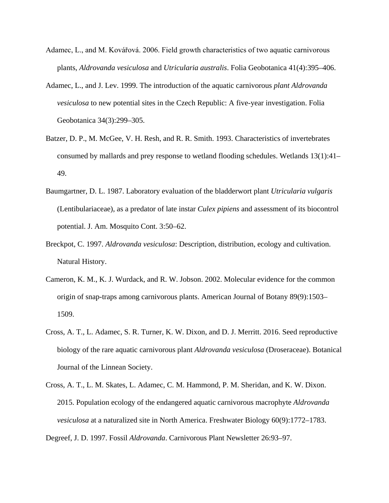- Adamec, L., and M. Kovářová. 2006. Field growth characteristics of two aquatic carnivorous plants, *Aldrovanda vesiculosa* and *Utricularia australis*. Folia Geobotanica 41(4):395–406.
- Adamec, L., and J. Lev. 1999. The introduction of the aquatic carnivorous *plant Aldrovanda vesiculosa* to new potential sites in the Czech Republic: A five-year investigation. Folia Geobotanica 34(3):299–305.
- Batzer, D. P., M. McGee, V. H. Resh, and R. R. Smith. 1993. Characteristics of invertebrates consumed by mallards and prey response to wetland flooding schedules. Wetlands 13(1):41– 49.
- Baumgartner, D. L. 1987. Laboratory evaluation of the bladderwort plant *Utricularia vulgaris*  (Lentibulariaceae), as a predator of late instar *Culex pipiens* and assessment of its biocontrol potential. J. Am. Mosquito Cont. 3:50–62.
- Breckpot, C. 1997. *Aldrovanda vesiculosa*: Description, distribution, ecology and cultivation. Natural History.
- Cameron, K. M., K. J. Wurdack, and R. W. Jobson. 2002. Molecular evidence for the common origin of snap-traps among carnivorous plants. American Journal of Botany 89(9):1503– 1509.
- Cross, A. T., L. Adamec, S. R. Turner, K. W. Dixon, and D. J. Merritt. 2016. Seed reproductive biology of the rare aquatic carnivorous plant *Aldrovanda vesiculosa* (Droseraceae). Botanical Journal of the Linnean Society.
- Cross, A. T., L. M. Skates, L. Adamec, C. M. Hammond, P. M. Sheridan, and K. W. Dixon. 2015. Population ecology of the endangered aquatic carnivorous macrophyte *Aldrovanda vesiculosa* at a naturalized site in North America. Freshwater Biology 60(9):1772–1783.

Degreef, J. D. 1997. Fossil *Aldrovanda*. Carnivorous Plant Newsletter 26:93–97.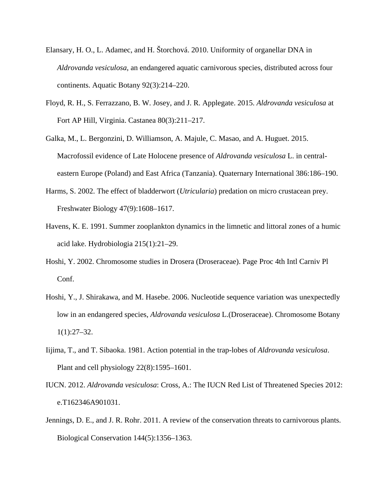- Elansary, H. O., L. Adamec, and H. Štorchová. 2010. Uniformity of organellar DNA in *Aldrovanda vesiculosa*, an endangered aquatic carnivorous species, distributed across four continents. Aquatic Botany 92(3):214–220.
- Floyd, R. H., S. Ferrazzano, B. W. Josey, and J. R. Applegate. 2015. *Aldrovanda vesiculosa* at Fort AP Hill, Virginia. Castanea 80(3):211–217.
- Galka, M., L. Bergonzini, D. Williamson, A. Majule, C. Masao, and A. Huguet. 2015. Macrofossil evidence of Late Holocene presence of *Aldrovanda vesiculosa* L. in centraleastern Europe (Poland) and East Africa (Tanzania). Quaternary International 386:186–190.
- Harms, S. 2002. The effect of bladderwort (*Utricularia*) predation on micro crustacean prey. Freshwater Biology 47(9):1608–1617.
- Havens, K. E. 1991. Summer zooplankton dynamics in the limnetic and littoral zones of a humic acid lake. Hydrobiologia 215(1):21–29.
- Hoshi, Y. 2002. Chromosome studies in Drosera (Droseraceae). Page Proc 4th Intl Carniv Pl Conf.
- Hoshi, Y., J. Shirakawa, and M. Hasebe. 2006. Nucleotide sequence variation was unexpectedly low in an endangered species, *Aldrovanda vesiculosa* L.(Droseraceae). Chromosome Botany 1(1):27–32.
- Iijima, T., and T. Sibaoka. 1981. Action potential in the trap-lobes of *Aldrovanda vesiculosa*. Plant and cell physiology 22(8):1595–1601.
- IUCN. 2012. *Aldrovanda vesiculosa*: Cross, A.: The IUCN Red List of Threatened Species 2012: e.T162346A901031.
- Jennings, D. E., and J. R. Rohr. 2011. A review of the conservation threats to carnivorous plants. Biological Conservation 144(5):1356–1363.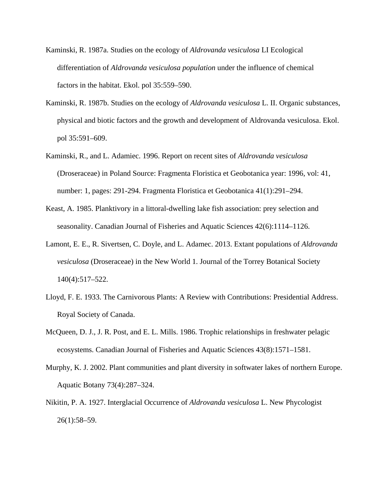- Kaminski, R. 1987a. Studies on the ecology of *Aldrovanda vesiculosa* LI Ecological differentiation of *Aldrovanda vesiculosa population* under the influence of chemical factors in the habitat. Ekol. pol 35:559–590.
- Kaminski, R. 1987b. Studies on the ecology of *Aldrovanda vesiculosa* L. II. Organic substances, physical and biotic factors and the growth and development of Aldrovanda vesiculosa. Ekol. pol 35:591–609.
- Kaminski, R., and L. Adamiec. 1996. Report on recent sites of *Aldrovanda vesiculosa*  (Droseraceae) in Poland Source: Fragmenta Floristica et Geobotanica year: 1996, vol: 41, number: 1, pages: 291-294. Fragmenta Floristica et Geobotanica 41(1):291–294.
- Keast, A. 1985. Planktivory in a littoral-dwelling lake fish association: prey selection and seasonality. Canadian Journal of Fisheries and Aquatic Sciences 42(6):1114–1126.
- Lamont, E. E., R. Sivertsen, C. Doyle, and L. Adamec. 2013. Extant populations of *Aldrovanda vesiculosa* (Droseraceae) in the New World 1. Journal of the Torrey Botanical Society 140(4):517–522.
- Lloyd, F. E. 1933. The Carnivorous Plants: A Review with Contributions: Presidential Address. Royal Society of Canada.
- McQueen, D. J., J. R. Post, and E. L. Mills. 1986. Trophic relationships in freshwater pelagic ecosystems. Canadian Journal of Fisheries and Aquatic Sciences 43(8):1571–1581.
- Murphy, K. J. 2002. Plant communities and plant diversity in softwater lakes of northern Europe. Aquatic Botany 73(4):287–324.
- Nikitin, P. A. 1927. Interglacial Occurrence of *Aldrovanda vesiculosa* L. New Phycologist 26(1):58–59.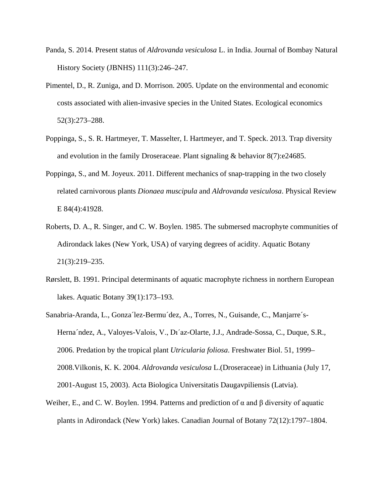- Panda, S. 2014. Present status of *Aldrovanda vesiculosa* L. in India. Journal of Bombay Natural History Society (JBNHS) 111(3):246–247.
- Pimentel, D., R. Zuniga, and D. Morrison. 2005. Update on the environmental and economic costs associated with alien-invasive species in the United States. Ecological economics 52(3):273–288.
- Poppinga, S., S. R. Hartmeyer, T. Masselter, I. Hartmeyer, and T. Speck. 2013. Trap diversity and evolution in the family Droseraceae. Plant signaling & behavior 8(7):e24685.
- Poppinga, S., and M. Joyeux. 2011. Different mechanics of snap-trapping in the two closely related carnivorous plants *Dionaea muscipula* and *Aldrovanda vesiculosa*. Physical Review E 84(4):41928.
- Roberts, D. A., R. Singer, and C. W. Boylen. 1985. The submersed macrophyte communities of Adirondack lakes (New York, USA) of varying degrees of acidity. Aquatic Botany 21(3):219–235.
- Rørslett, B. 1991. Principal determinants of aquatic macrophyte richness in northern European lakes. Aquatic Botany 39(1):173–193.
- Sanabria-Aranda, L., Gonza´lez-Bermu´dez, A., Torres, N., Guisande, C., Manjarre´s-Herna´ndez, A., Valoyes-Valois, V., Dı´az-Olarte, J.J., Andrade-Sossa, C., Duque, S.R., 2006. Predation by the tropical plant *Utricularia foliosa*. Freshwater Biol. 51, 1999– 2008.Vilkonis, K. K. 2004. *Aldrovanda vesiculosa* L.(Droseraceae) in Lithuania (July 17, 2001-August 15, 2003). Acta Biologica Universitatis Daugavpiliensis (Latvia).
- Weiher, E., and C. W. Boylen. 1994. Patterns and prediction of  $\alpha$  and  $\beta$  diversity of aquatic plants in Adirondack (New York) lakes. Canadian Journal of Botany 72(12):1797–1804.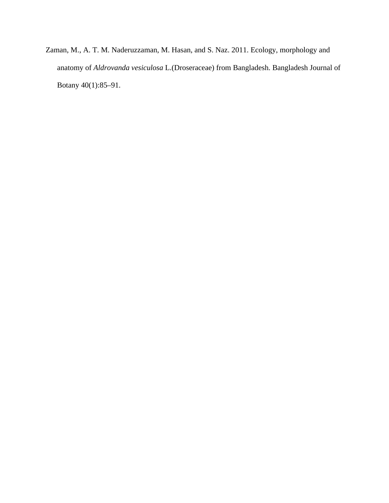Zaman, M., A. T. M. Naderuzzaman, M. Hasan, and S. Naz. 2011. Ecology, morphology and anatomy of *Aldrovanda vesiculosa* L.(Droseraceae) from Bangladesh. Bangladesh Journal of Botany 40(1):85–91.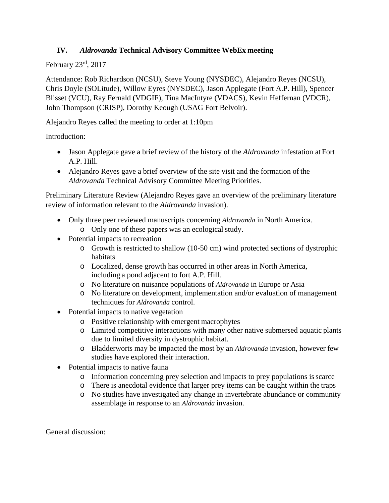## **IV.** *Aldrovanda* **Technical Advisory Committee WebEx meeting**

## February 23rd, 2017

Attendance: Rob Richardson (NCSU), Steve Young (NYSDEC), Alejandro Reyes (NCSU), Chris Doyle (SOLitude), Willow Eyres (NYSDEC), Jason Applegate (Fort A.P. Hill), Spencer Blisset (VCU), Ray Fernald (VDGIF), Tina MacIntyre (VDACS), Kevin Heffernan (VDCR), John Thompson (CRISP), Dorothy Keough (USAG Fort Belvoir).

Alejandro Reyes called the meeting to order at 1:10pm

Introduction:

- Jason Applegate gave a brief review of the history of the *Aldrovanda* infestation at Fort A.P. Hill.
- Alejandro Reyes gave a brief overview of the site visit and the formation of the *Aldrovanda* Technical Advisory Committee Meeting Priorities.

Preliminary Literature Review (Alejandro Reyes gave an overview of the preliminary literature review of information relevant to the *Aldrovanda* invasion).

- Only three peer reviewed manuscripts concerning *Aldrovanda* in North America. o Only one of these papers was an ecological study.
- Potential impacts to recreation
	- o Growth is restricted to shallow (10-50 cm) wind protected sections of dystrophic habitats
	- o Localized, dense growth has occurred in other areas in North America, including a pond adjacent to fort A.P. Hill.
	- o No literature on nuisance populations of *Aldrovanda* in Europe or Asia
	- o No literature on development, implementation and/or evaluation of management techniques for *Aldrovanda* control.
- Potential impacts to native vegetation
	- o Positive relationship with emergent macrophytes
	- o Limited competitive interactions with many other native submersed aquatic plants due to limited diversity in dystrophic habitat.
	- o Bladderworts may be impacted the most by an *Aldrovanda* invasion, however few studies have explored their interaction.
- Potential impacts to native fauna
	- o Information concerning prey selection and impacts to prey populations isscarce
	- o There is anecdotal evidence that larger prey items can be caught within the traps
	- o No studies have investigated any change in invertebrate abundance or community assemblage in response to an *Aldrovanda* invasion.

General discussion: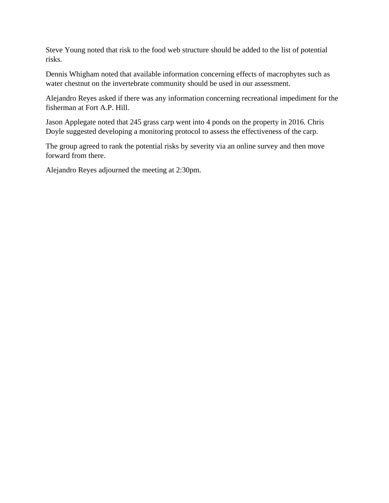Steve Young noted that risk to the food web structure should be added to the list of potential risks.

Dennis Whigham noted that available information concerning effects of macrophytes such as water chestnut on the invertebrate community should be used in our assessment.

Alejandro Reyes asked if there was any information concerning recreational impediment for the fisherman at Fort A.P. Hill.

Jason Applegate noted that 245 grass carp went into 4 ponds on the property in 2016. Chris Doyle suggested developing a monitoring protocol to assess the effectiveness of the carp.

The group agreed to rank the potential risks by severity via an online survey and then move forward from there.

Alejandro Reyes adjourned the meeting at 2:30pm.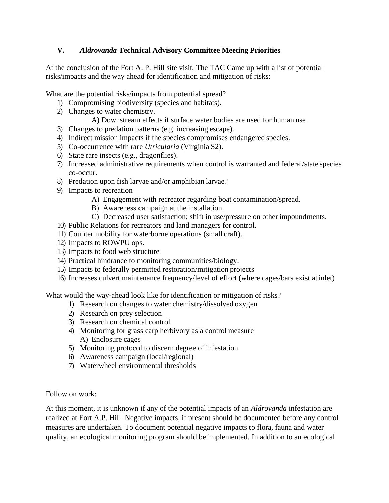## **V.** *Aldrovanda* **Technical Advisory Committee Meeting Priorities**

At the conclusion of the Fort A. P. Hill site visit, The TAC Came up with a list of potential risks/impacts and the way ahead for identification and mitigation of risks:

What are the potential risks/impacts from potential spread?

- 1) Compromising biodiversity (species and habitats).
- 2) Changes to water chemistry.
	- A) Downstream effects if surface water bodies are used for human use.
- 3) Changes to predation patterns (e.g. increasing escape).
- 4) Indirect mission impacts if the species compromises endangered species.
- 5) Co-occurrence with rare *Utricularia* (Virginia S2).
- 6) State rare insects (e.g., dragonflies).
- 7) Increased administrative requirements when control is warranted and federal/state species co-occur.
- 8) Predation upon fish larvae and/or amphibian larvae?
- 9) Impacts to recreation
	- A) Engagement with recreator regarding boat contamination/spread.
	- B) Awareness campaign at the installation.
	- C) Decreased user satisfaction; shift in use/pressure on other impoundments.
- 10) Public Relations for recreators and land managers for control.
- 11) Counter mobility for waterborne operations (small craft).
- 12) Impacts to ROWPU ops.
- 13) Impacts to food web structure
- 14) Practical hindrance to monitoring communities/biology.
- 15) Impacts to federally permitted restoration/mitigation projects
- 16) Increases culvert maintenance frequency/level of effort (where cages/bars exist at inlet)

What would the way-ahead look like for identification or mitigation of risks?

- 1) Research on changes to water chemistry/dissolved oxygen
- 2) Research on prey selection
- 3) Research on chemical control
- 4) Monitoring for grass carp herbivory as a control measure A) Enclosure cages
- 5) Monitoring protocol to discern degree of infestation
- 6) Awareness campaign (local/regional)
- 7) Waterwheel environmental thresholds

Follow on work:

At this moment, it is unknown if any of the potential impacts of an *Aldrovanda* infestation are realized at Fort A.P. Hill. Negative impacts, if present should be documented before any control measures are undertaken. To document potential negative impacts to flora, fauna and water quality, an ecological monitoring program should be implemented. In addition to an ecological